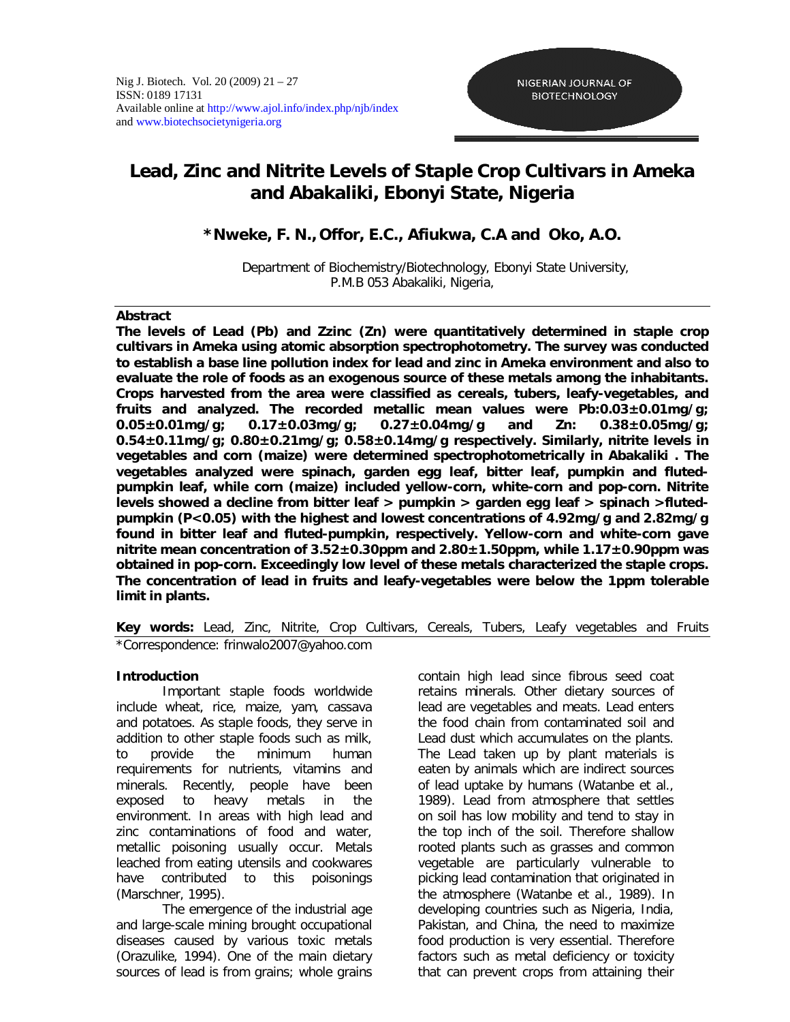# **Lead, Zinc and Nitrite Levels of Staple Crop Cultivars in Ameka and Abakaliki, Ebonyi State, Nigeria**

## **\*Nweke, F. N., Offor, E.C., Afiukwa, C.A and Oko, A.O.**

Department of Biochemistry/Biotechnology, Ebonyi State University, P.M.B 053 Abakaliki, Nigeria,

#### **Abstract**

**The levels of Lead (Pb) and Zzinc (Zn) were quantitatively determined in staple crop cultivars in Ameka using atomic absorption spectrophotometry. The survey was conducted to establish a base line pollution index for lead and zinc in Ameka environment and also to evaluate the role of foods as an exogenous source of these metals among the inhabitants. Crops harvested from the area were classified as cereals, tubers, leafy-vegetables, and fruits and analyzed. The recorded metallic mean values were Pb:0.03±0.01mg/g; 0.05±0.01mg/g; 0.17±0.03mg/g; 0.27±0.04mg/g and Zn: 0.38±0.05mg/g; 0.54±0.11mg/g; 0.80±0.21mg/g; 0.58±0.14mg/g respectively. Similarly, nitrite levels in vegetables and corn (maize) were determined spectrophotometrically in Abakaliki . The vegetables analyzed were spinach, garden egg leaf, bitter leaf, pumpkin and flutedpumpkin leaf, while corn (maize) included yellow-corn, white-corn and pop-corn. Nitrite levels showed a decline from bitter leaf > pumpkin > garden egg leaf > spinach >flutedpumpkin (P<0.05) with the highest and lowest concentrations of 4.92mg/g and 2.82mg/g found in bitter leaf and fluted-pumpkin, respectively. Yellow-corn and white-corn gave nitrite mean concentration of 3.52±0.30ppm and 2.80±1.50ppm, while 1.17±0.90ppm was obtained in pop-corn. Exceedingly low level of these metals characterized the staple crops. The concentration of lead in fruits and leafy-vegetables were below the 1ppm tolerable limit in plants.**

## **Key words:** Lead, Zinc, Nitrite, Crop Cultivars, Cereals, Tubers, Leafy vegetables and Fruits *\*Correspondence: frinwalo2007@yahoo.com*

## **Introduction**

Important staple foods worldwide include wheat, rice, maize, yam, cassava and potatoes. As staple foods, they serve in addition to other staple foods such as milk, to provide the minimum human requirements for nutrients, vitamins and minerals. Recently, people have been exposed to heavy metals in the environment. In areas with high lead and zinc contaminations of food and water, metallic poisoning usually occur. Metals leached from eating utensils and cookwares have contributed to this poisonings (Marschner, 1995).

The emergence of the industrial age and large-scale mining brought occupational diseases caused by various toxic metals (Orazulike, 1994). One of the main dietary sources of lead is from grains; whole grains contain high lead since fibrous seed coat retains minerals. Other dietary sources of lead are vegetables and meats. Lead enters the food chain from contaminated soil and Lead dust which accumulates on the plants. The Lead taken up by plant materials is eaten by animals which are indirect sources of lead uptake by humans (Watanbe *et al.*, 1989). Lead from atmosphere that settles on soil has low mobility and tend to stay in the top inch of the soil. Therefore shallow rooted plants such as grasses and common vegetable are particularly vulnerable to picking lead contamination that originated in the atmosphere (Watanbe *et al.*, 1989). In developing countries such as Nigeria, India, Pakistan, and China, the need to maximize food production is very essential. Therefore factors such as metal deficiency or toxicity that can prevent crops from attaining their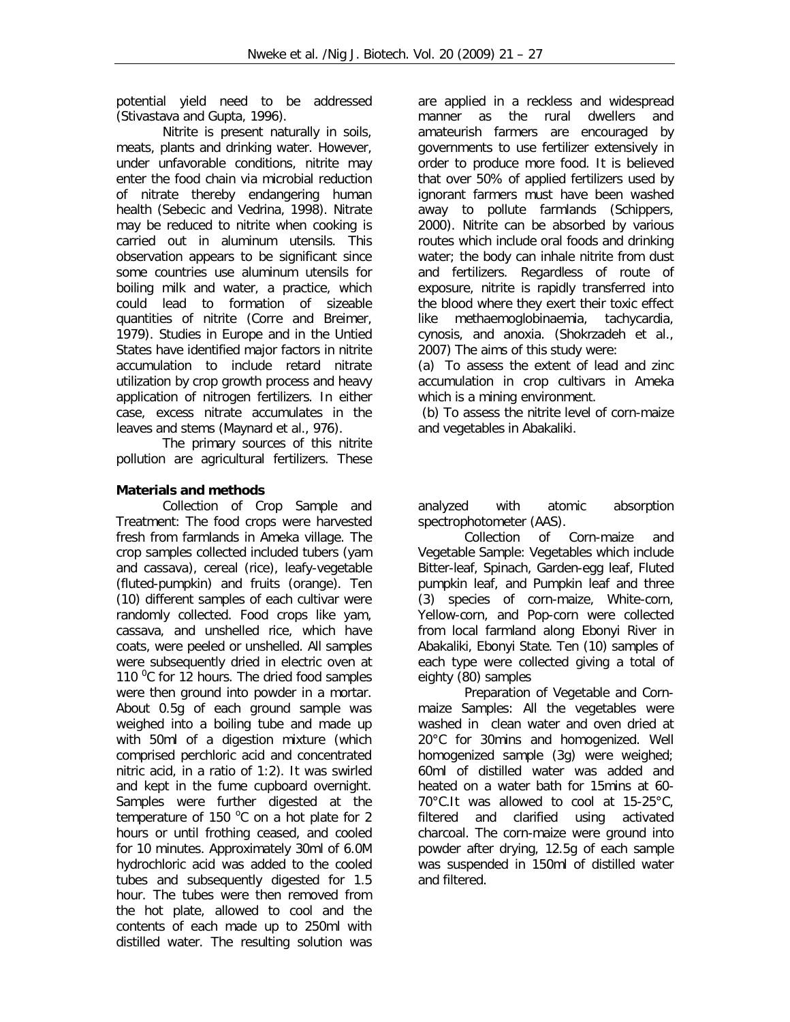potential yield need to be addressed (Stivastava and Gupta, 1996).

Nitrite is present naturally in soils, meats, plants and drinking water. However, under unfavorable conditions, nitrite may enter the food chain via microbial reduction of nitrate thereby endangering human health (Sebecic and Vedrina, 1998). Nitrate may be reduced to nitrite when cooking is carried out in aluminum utensils. This observation appears to be significant since some countries use aluminum utensils for boiling milk and water, a practice*,* which could lead to formation of sizeable quantities of nitrite (Corre and Breimer, 1979). Studies in Europe and in the Untied States have identified major factors in nitrite accumulation to include retard nitrate utilization by crop growth process and heavy application of nitrogen fertilizers. In either case, excess nitrate accumulates in the leaves and stems (Maynard *et al.,* 976).

The primary sources of this nitrite pollution are agricultural fertilizers. These

## **Materials and methods**

*Collection of Crop Sample and Treatment:* The food crops were harvested fresh from farmlands in Ameka village. The crop samples collected included tubers (yam and cassava), cereal (rice), leafy-vegetable (fluted-pumpkin) and fruits (orange). Ten (10) different samples of each cultivar were randomly collected. Food crops like yam, cassava, and unshelled rice, which have coats, were peeled or unshelled. All samples were subsequently dried in electric oven at 110 $\mathrm{^0C}$  for 12 hours. The dried food samples were then ground into powder in a mortar. About 0.5g of each ground sample was weighed into a boiling tube and made up with 50ml of a digestion mixture (which comprised perchloric acid and concentrated nitric acid, in a ratio of 1:2). It was swirled and kept in the fume cupboard overnight. Samples were further digested at the temperature of 150 $^{\circ}$ C on a hot plate for 2 hours or until frothing ceased, and cooled for 10 minutes. Approximately 30ml of 6.0M hydrochloric acid was added to the cooled tubes and subsequently digested for 1.5 hour. The tubes were then removed from the hot plate, allowed to cool and the contents of each made up to 250ml with distilled water. The resulting solution was

are applied in a reckless and widespread manner as the rural dwellers and amateurish farmers are encouraged by governments to use fertilizer extensively in order to produce more food. It is believed that over 50% of applied fertilizers used by ignorant farmers must have been washed away to pollute farmlands (Schippers, 2000). Nitrite can be absorbed by various routes which include oral foods and drinking water; the body can inhale nitrite from dust and fertilizers. Regardless of route of exposure, nitrite is rapidly transferred into the blood where they exert their toxic effect like methaemoglobinaemia, tachycardia, cynosis, and anoxia. (Shokrzadeh *et al.,* 2007) The aims of this study were:

(a) To assess the extent of lead and zinc accumulation in crop cultivars in Ameka which is a mining environment.

(b) To assess the nitrite level of corn-maize and vegetables in Abakaliki.

analyzed with atomic absorption spectrophotometer (AAS).

*Collection of Corn-maize and Vegetable Sample:* Vegetables which include Bitter-leaf, Spinach, Garden-egg leaf, Fluted pumpkin leaf, and Pumpkin leaf and three (3) species of corn-maize, White-corn, Yellow-corn, and Pop-corn were collected from local farmland along Ebonyi River in Abakaliki, Ebonyi State. Ten (10) samples of each type were collected giving a total of eighty (80) samples

*Preparation of Vegetable and Cornmaize Samples*: All the vegetables were washed in clean water and oven dried at 20°C for 30mins and homogenized. Well homogenized sample (3g) were weighed; 60ml of distilled water was added and heated on a water bath for 15mins at 60- 70°C.It was allowed to cool at 15-25°C, filtered and clarified using activated charcoal. The corn-maize were ground into powder after drying, 12.5g of each sample was suspended in 150ml of distilled water and filtered.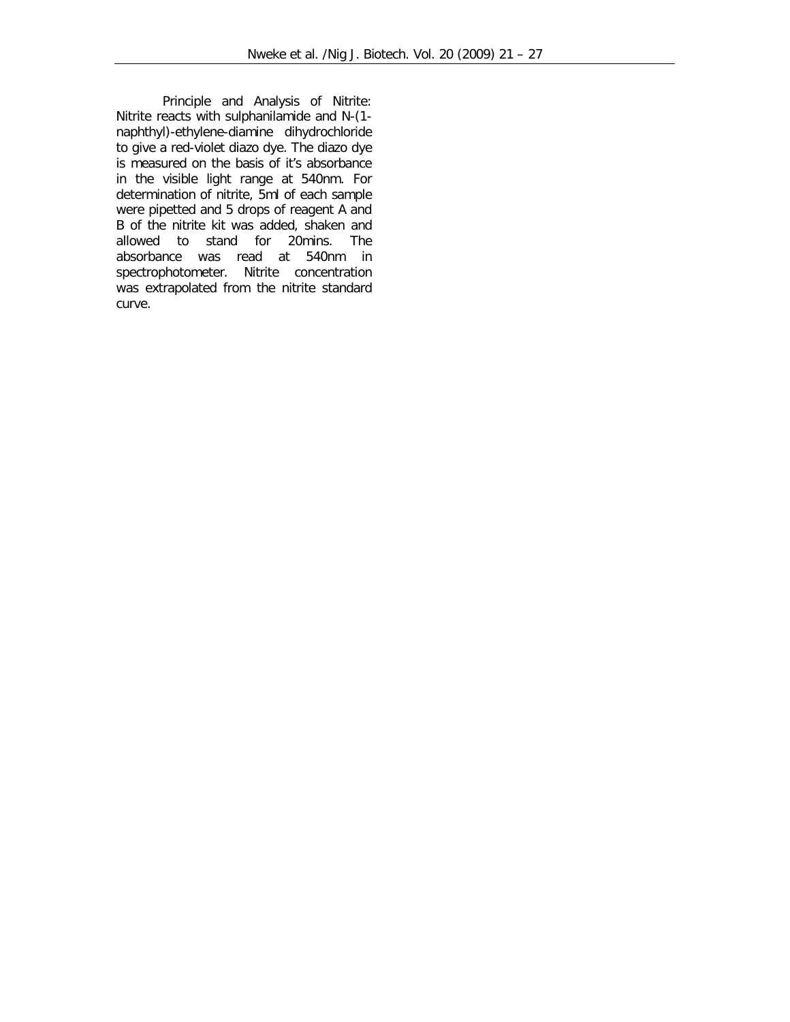*Principle and Analysis of Nitrite:* Nitrite reacts with sulphanilamide and N-(1 naphthyl)-ethylene-diamine dihydrochloride to give a red-violet diazo dye. The diazo dye is measured on the basis of it's absorbance in the visible light range at 540nm. For determination of nitrite, 5ml of each sample were pipetted and 5 drops of reagent A and B of the nitrite kit was added, shaken and allowed to stand for 20mins. The absorbance was read at 540nm in spectrophotometer. Nitrite concentration was extrapolated from the nitrite standard curve.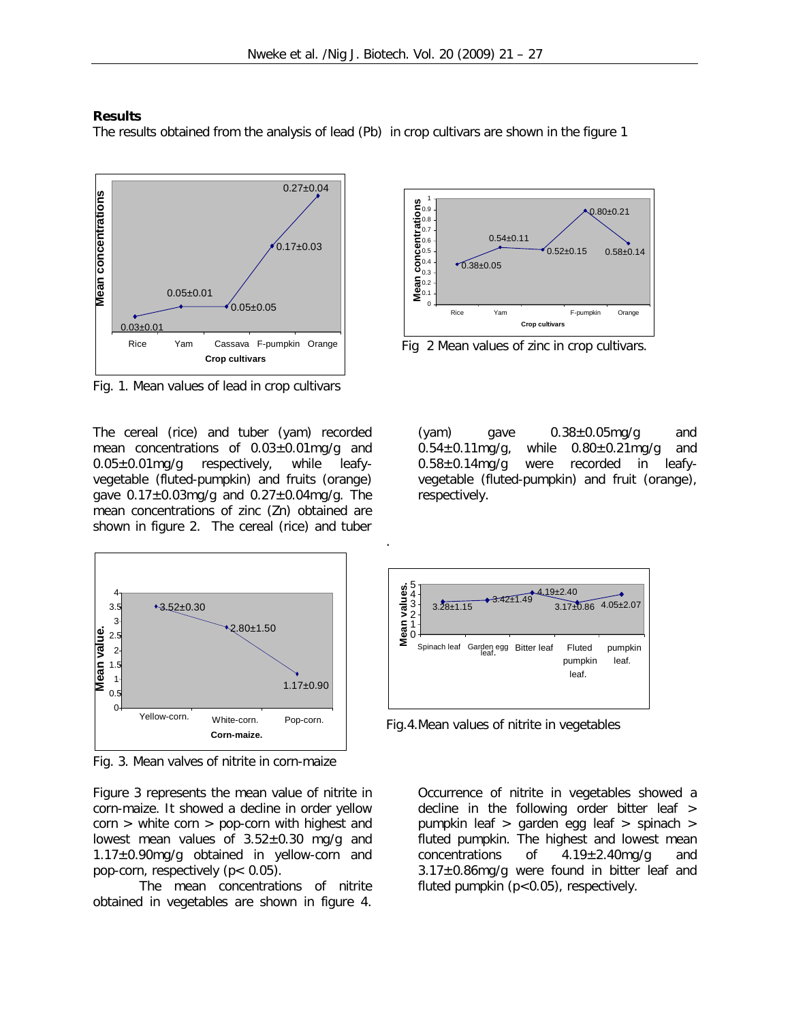.

#### **Results**

The results obtained from the analysis of lead (Pb) in crop cultivars are shown in the figure 1



Fig. 1. Mean values of lead in crop cultivars

The cereal (rice) and tuber (yam) recorded mean concentrations of 0.03±0.01mg/g and 0.05±0.01mg/g respectively, while leafyvegetable (fluted-pumpkin) and fruits (orange) gave 0.17±0.03mg/g and 0.27±0.04mg/g. The mean concentrations of zinc (Zn) obtained are shown in figure 2. The cereal (rice) and tuber



Fig. 3. Mean valves of nitrite in corn-maize

Figure 3 represents the mean value of nitrite in corn-maize. It showed a decline in order yellow corn > white corn > pop-corn with highest and lowest mean values of  $3.52\pm0.30$  mg/g and 1.17±0.90mg/g obtained in yellow-corn and pop-corn, respectively (p< 0.05).

The mean concentrations of nitrite obtained in vegetables are shown in figure 4.



Fig 2 Mean values of zinc in crop cultivars.

 $(yam)$  gave  $0.38\pm0.05$ mg/g and  $0.54\pm0.11$ mg/g, while  $0.80\pm0.21$ mg/g and  $0.58\pm0.14$ mg/g were recorded in leafywere recorded in leafyvegetable (fluted-pumpkin) and fruit (orange), respectively.



Fig.4.Mean values of nitrite in vegetables

Occurrence of nitrite in vegetables showed a decline in the following order bitter leaf > pumpkin leaf > garden egg leaf > spinach > fluted pumpkin. The highest and lowest mean concentrations of  $4.19 \pm 2.40$  mg/g and 3.17±0.86mg/g were found in bitter leaf and fluted pumpkin (p<0.05), respectively.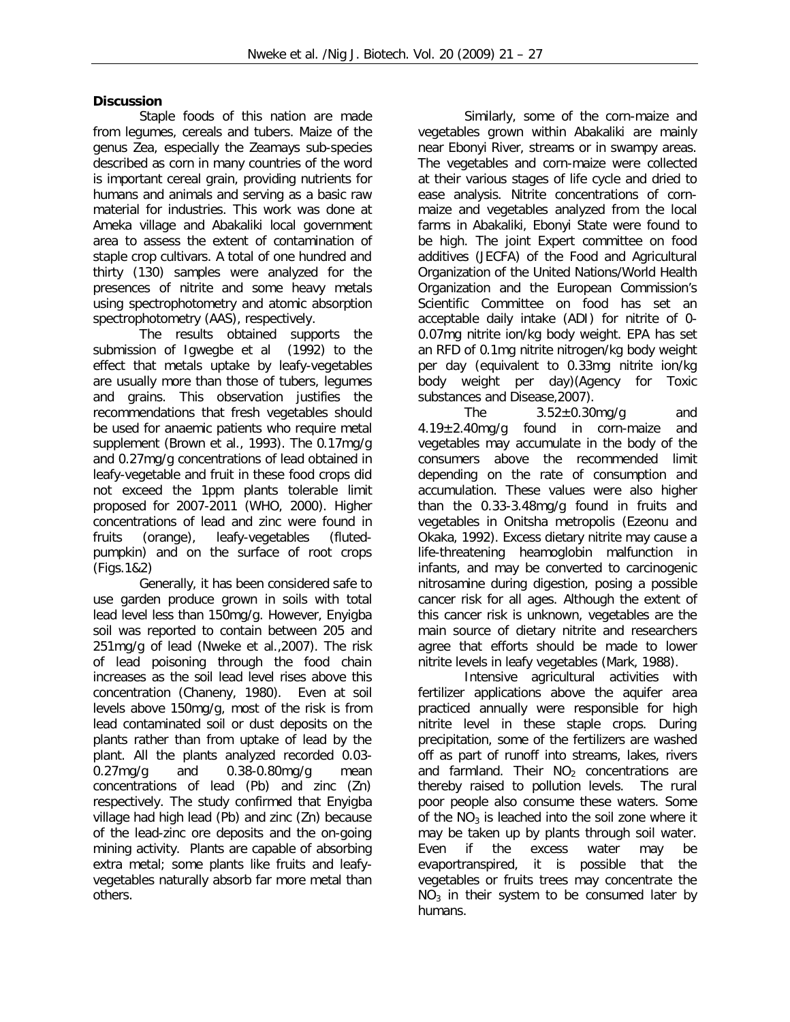## **Discussion**

Staple foods of this nation are made from legumes, cereals and tubers. Maize of the genus Zea, especially the *Zeamays* sub-species described as corn in many countries of the word is important cereal grain, providing nutrients for humans and animals and serving as a basic raw material for industries. This work was done at Ameka village and Abakaliki local government area to assess the extent of contamination of staple crop cultivars. A total of one hundred and thirty (130) samples were analyzed for the presences of nitrite and some heavy metals using spectrophotometry and atomic absorption spectrophotometry (AAS), respectively.

The results obtained supports the submission of Igwegbe *et al* (1992) to the effect that metals uptake by leafy-vegetables are usually more than those of tubers, legumes and grains. This observation justifies the recommendations that fresh vegetables should be used for anaemic patients who require metal supplement (Brown *et al*., 1993). The 0.17mg/g and 0.27mg/g concentrations of lead obtained in leafy-vegetable and fruit in these food crops did not exceed the 1ppm plants tolerable limit proposed for 2007-2011 (WHO, 2000). Higher concentrations of lead and zinc were found in fruits (orange), leafy-vegetables (flutedpumpkin) and on the surface of root crops (Figs.1&2)

Generally, it has been considered safe to use garden produce grown in soils with total lead level less than 150mg/g. However, Enyigba soil was reported to contain between 205 and 251mg/g of lead (Nweke *et al.,*2007). The risk of lead poisoning through the food chain increases as the soil lead level rises above this concentration (Chaneny, 1980). Even at soil levels above 150mg/g, most of the risk is from lead contaminated soil or dust deposits on the plants rather than from uptake of lead by the plant. All the plants analyzed recorded 0.03- 0.27mg/g and 0.38-0.80mg/g mean concentrations of lead (Pb) and zinc (Zn) respectively. The study confirmed that Enyigba village had high lead (Pb) and zinc (Zn) because of the lead-zinc ore deposits and the on-going mining activity. Plants are capable of absorbing extra metal; some plants like fruits and leafyvegetables naturally absorb far more metal than others.

Similarly, some of the corn-maize and vegetables grown within Abakaliki are mainly near Ebonyi River, streams or in swampy areas. The vegetables and corn-maize were collected at their various stages of life cycle and dried to ease analysis. Nitrite concentrations of cornmaize and vegetables analyzed from the local farms in Abakaliki, Ebonyi State were found to be high. The joint Expert committee on food additives (JECFA) of the Food and Agricultural Organization of the United Nations/World Health Organization and the European Commission's Scientific Committee on food has set an acceptable daily intake (ADI) for nitrite of 0- 0.07mg nitrite ion/kg body weight. EPA has set an RFD of 0.1mg nitrite nitrogen/kg body weight per day (equivalent to 0.33mg nitrite ion/kg body weight per day)(Agency for Toxic substances and Disease,2007).

The  $3.52\pm0.30$ mg/g and 4.19±2.40mg/g found in corn-maize and vegetables may accumulate in the body of the consumers above the recommended limit depending on the rate of consumption and accumulation. These values were also higher than the 0.33-3.48mg/g found in fruits and vegetables in Onitsha metropolis (Ezeonu and Okaka, 1992). Excess dietary nitrite may cause a life-threatening heamoglobin malfunction in infants, and may be converted to carcinogenic nitrosamine during digestion, posing a possible cancer risk for all ages. Although the extent of this cancer risk is unknown, vegetables are the main source of dietary nitrite and researchers agree that efforts should be made to lower nitrite levels in leafy vegetables (Mark, 1988).

Intensive agricultural activities with fertilizer applications above the aquifer area practiced annually were responsible for high nitrite level in these staple crops. During precipitation, some of the fertilizers are washed off as part of runoff into streams, lakes, rivers and farmland. Their  $NO<sub>2</sub>$  concentrations are thereby raised to pollution levels. The rural thereby raised to pollution levels. poor people also consume these waters. Some of the  $NO<sub>3</sub>$  is leached into the soil zone where it may be taken up by plants through soil water. Even if the excess water may be evaportranspired, it is possible that the vegetables or fruits trees may concentrate the  $NO<sub>3</sub>$  in their system to be consumed later by humans.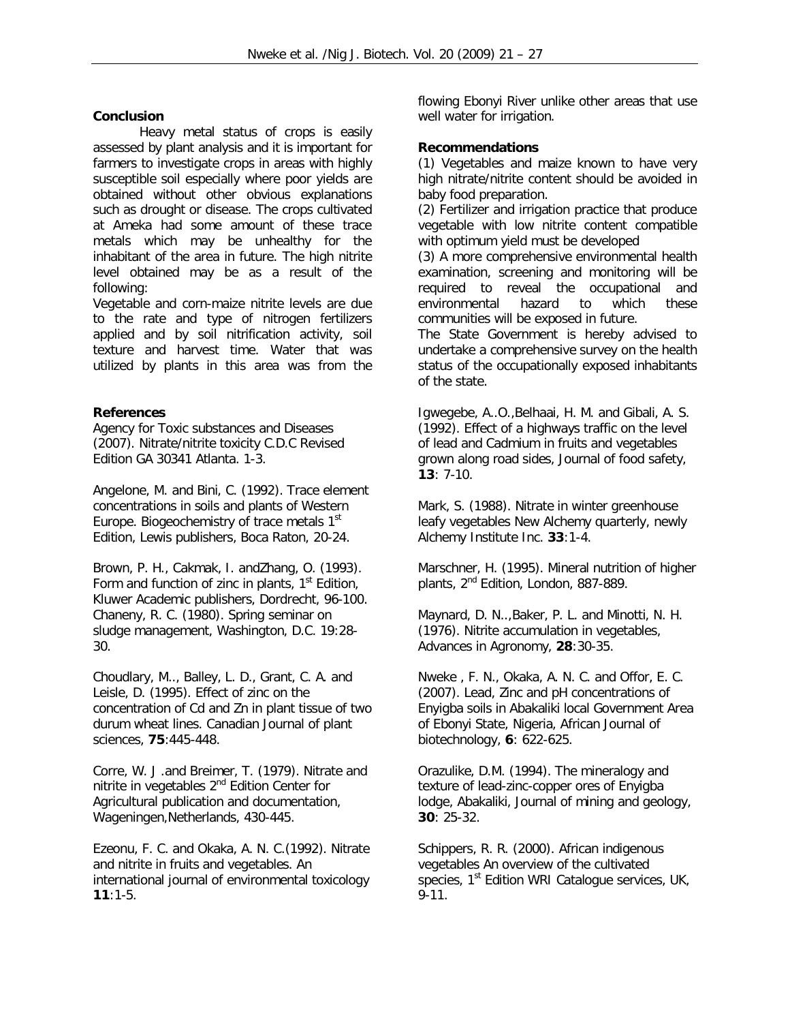## **Conclusion**

Heavy metal status of crops is easily assessed by plant analysis and it is important for farmers to investigate crops in areas with highly susceptible soil especially where poor yields are obtained without other obvious explanations such as drought or disease. The crops cultivated at Ameka had some amount of these trace metals which may be unhealthy for the inhabitant of the area in future. The high nitrite level obtained may be as a result of the following:

Vegetable and corn-maize nitrite levels are due to the rate and type of nitrogen fertilizers applied and by soil nitrification activity, soil texture and harvest time. Water that was utilized by plants in this area was from the

## **References**

Agency for Toxic substances and Diseases (2007). Nitrate/nitrite toxicity C.D.C Revised Edition GA 30341 Atlanta. 1-3.

Angelone, M. and Bini, C. (1992). Trace element concentrations in soils and plants of Western Europe. Biogeochemistry of trace metals  $1<sup>st</sup>$ Edition, Lewis publishers, Boca Raton, 20-24.

Brown, P. H., Cakmak, I. andZhang, O. (1993). Form and function of zinc in plants,  $1<sup>st</sup>$  Edition, Kluwer Academic publishers, Dordrecht, 96-100. Chaneny, R. C. (1980). Spring seminar on sludge management, Washington, D.C. 19:28- 30.

Choudlary, M.., Balley, L. D., Grant, C. A. and Leisle, D. (1995). Effect of zinc on the concentration of Cd and Zn in plant tissue of two durum wheat lines. *Canadian Journal of plant sciences*, **75**:445-448.

Corre, W. J .and Breimer, T. (1979). Nitrate and nitrite in vegetables 2<sup>nd</sup> Edition Center for Agricultural publication and documentation, Wageningen,Netherlands, 430-445.

Ezeonu, F. C. and Okaka, A. N. C.(1992). Nitrate and nitrite in fruits and vegetables. *An international journal of environmental toxicology* **11**:1-5.

flowing Ebonyi River unlike other areas that use well water for irrigation.

## **Recommendations**

(1) Vegetables and maize known to have very high nitrate/nitrite content should be avoided in baby food preparation.

(2) Fertilizer and irrigation practice that produce vegetable with low nitrite content compatible with optimum yield must be developed

(3) A more comprehensive environmental health examination, screening and monitoring will be required to reveal the occupational and environmental hazard to which these communities will be exposed in future.

The State Government is hereby advised to undertake a comprehensive survey on the health status of the occupationally exposed inhabitants of the state.

Igwegebe, A..O.,Belhaai, H. M. and Gibali, A. S. (1992). Effect of a highways traffic on the level of lead and Cadmium in fruits and vegetables grown along road sides, *Journal of food safety*, **13**: 7-10.

Mark, S. (1988). Nitrate in winter greenhouse leafy vegetables New Alchemy quarterly, newly Alchemy Institute Inc. **33**:1-4.

Marschner, H. (1995). Mineral nutrition of higher plants, 2<sup>nd</sup> Edition, London, 887-889.

Maynard, D. N..,Baker, P. L. and Minotti, N. H. (1976). Nitrite accumulation in vegetables, *Advances in Agronomy, 28:30-35.* 

Nweke , F. N., Okaka, A. N. C. and Offor, E. C. (2007). Lead, Zinc and pH concentrations of Enyigba soils in Abakaliki local Government Area of Ebonyi State, Nigeria*, African Journal of biotechnology,* **6**: 622-625.

Orazulike, D.M. (1994). The mineralogy and texture of lead-zinc-copper ores of Enyigba lodge, Abakaliki, *Journal of mining and geology*, **30**: 25-32.

Schippers, R. R. (2000). African indigenous vegetables An overview of the cultivated species, 1<sup>st</sup> Edition WRI Catalogue services, UK, 9-11.